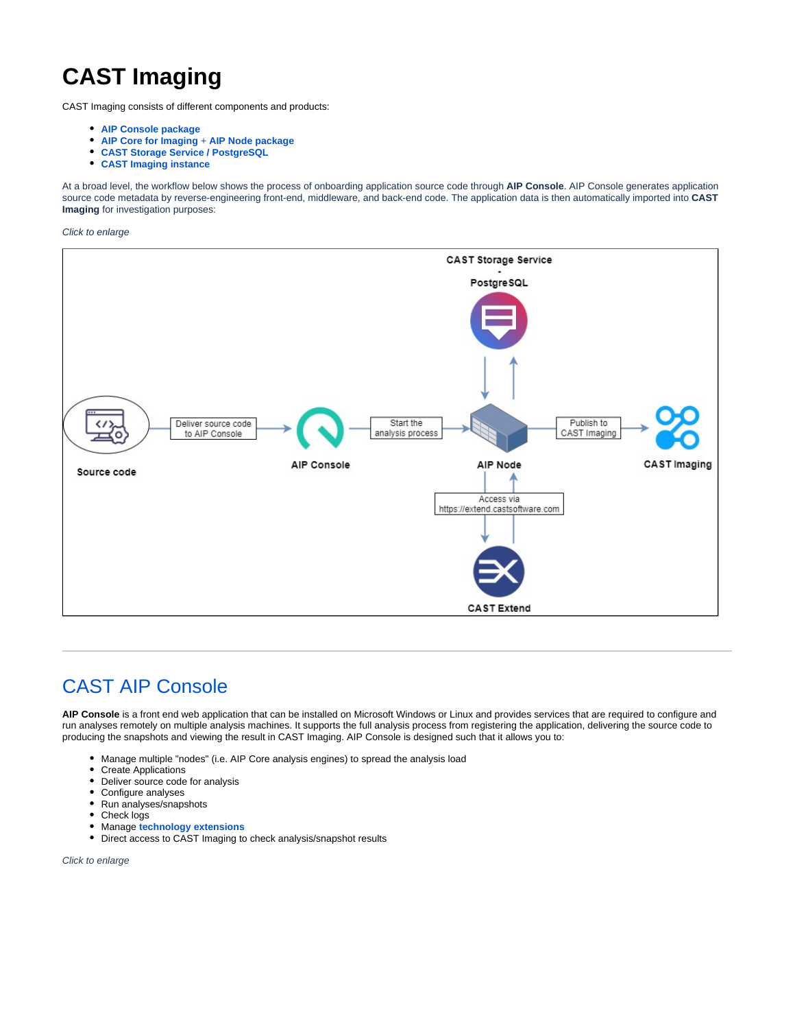# **CAST Imaging**

CAST Imaging consists of different components and products:

- **[AIP Console package](https://doc.castsoftware.com/display/AIPCONSOLE)**
- **[AIP Core for Imaging](https://doc.castsoftware.com/display/AIPCORE)** + **AIP Node package**
- **[CAST Storage Service / PostgreSQL](https://doc.castsoftware.com/display/STORAGE)**
- **[CAST Imaging instance](https://doc.castsoftware.com/display/IMAGING/CAST+Imaging+-+User+Guide)**

At a broad level, the workflow below shows the process of onboarding application source code through **AIP Console**. AIP Console generates application source code metadata by reverse-engineering front-end, middleware, and back-end code. The application data is then automatically imported into **CAST Imaging** for investigation purposes:

Click to enlarge



## [CAST AIP Console](https://doc.castsoftware.com/display/AIPCONSOLE)

**AIP Console** is a front end web application that can be installed on Microsoft Windows or Linux and provides services that are required to configure and run analyses remotely on multiple analysis machines. It supports the full analysis process from registering the application, delivering the source code to producing the snapshots and viewing the result in CAST Imaging. AIP Console is designed such that it allows you to:

- Manage multiple "nodes" (i.e. AIP Core analysis engines) to spread the analysis load
- Create Applications
- $\bullet$ Deliver source code for analysis
- Configure analyses
- Run analyses/snapshots
- $\bullet$ Check logs
- Manage **[technology extensions](https://doc.castsoftware.com/display/TECHNOS)**
- Direct access to CAST Imaging to check analysis/snapshot results

Click to enlarge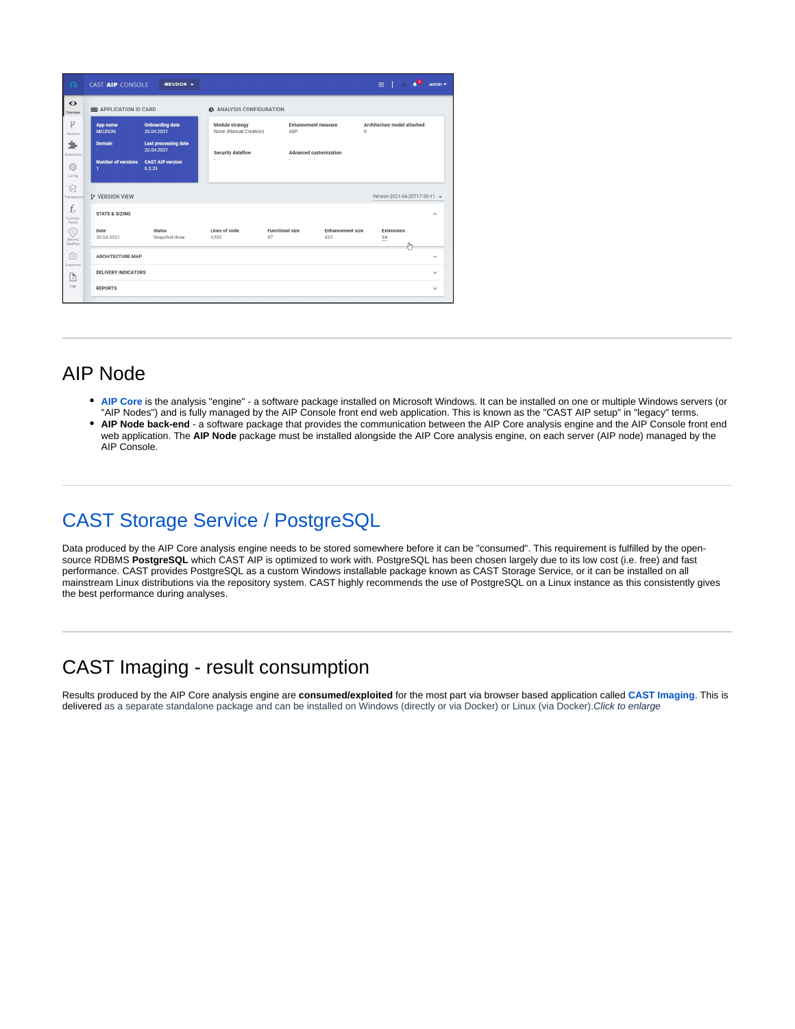| $\Omega$                    | CAST AIP CONSOLE                          | $MEUDON -$                                |                                                           |                                   |                                | $\mathbf{1}$ $\mathbf{A}$ $\mathbf{B}$<br>曲 | admin $\blacktriangledown$ |
|-----------------------------|-------------------------------------------|-------------------------------------------|-----------------------------------------------------------|-----------------------------------|--------------------------------|---------------------------------------------|----------------------------|
| $\bullet$<br>Overview       | APPLICATION ID CARD                       |                                           | <b>45 ANALYSIS CONFIGURATION</b>                          |                                   |                                |                                             |                            |
| p<br>Versions               | App name<br><b>MEUDON</b>                 | <b>Onboarding date</b><br>20.04.2021      | <b>Module strategy</b><br>None (Manual Creation)          | <b>Enhancement measure</b><br>AFP |                                | Architecture model attached<br>$\Omega$     |                            |
| Extensions                  | <b>Domain</b><br>÷                        | <b>Last processing date</b><br>20.04.2021 | <b>Security dataflow</b><br><b>Advanced customization</b> |                                   |                                |                                             |                            |
| €<br>Config                 | <b>Number of versions</b><br>$\mathbf{1}$ | <b>CAST AIP version</b><br>8.3.33         | i.                                                        |                                   |                                |                                             |                            |
| Ձ<br>Transactions           | <b>2º VERSION VIEW</b>                    |                                           |                                                           |                                   |                                | Version-2021-04-20T17-30-11 -               |                            |
| $f_x$<br>Function<br>Points | <b>STATE &amp; SIZING</b>                 |                                           |                                                           |                                   |                                |                                             | $\wedge$                   |
| ۰<br>Security.<br>Dataflow  | Date<br>20.04.2021                        | <b>Status</b><br>Snapshot done            | Lines of code<br>3.552                                    | <b>Functional size</b><br>87      | <b>Enhancement size</b><br>423 | <b>Extensions</b><br>24                     |                            |
| ro)<br>Snapshots            | <b>ARCHITECTURE MAP</b>                   |                                           |                                                           |                                   |                                |                                             | $\checkmark$               |
| P                           | <b>DELIVERY INDICATORS</b>                |                                           |                                                           |                                   |                                |                                             | $\checkmark$               |
| Logs                        | <b>REPORTS</b>                            |                                           |                                                           |                                   |                                |                                             | $\checkmark$               |

## AIP Node

- **[AIP Core](https://doc.castsoftware.com/display/AIPCORE)** is the analysis "engine" a software package installed on Microsoft Windows. It can be installed on one or multiple Windows servers (or "AIP Nodes") and is fully managed by the AIP Console front end web application. This is known as the "CAST AIP setup" in "legacy" terms.
- $\bullet$ **AIP Node back-end** - a software package that provides the communication between the AIP Core analysis engine and the AIP Console front end web application. The **AIP Node** package must be installed alongside the AIP Core analysis engine, on each server (AIP node) managed by the AIP Console.

# [CAST Storage Service / PostgreSQL](https://doc.castsoftware.com/display/STORAGE/Storage+for+CAST+AIP)

Data produced by the AIP Core analysis engine needs to be stored somewhere before it can be "consumed". This requirement is fulfilled by the opensource RDBMS **PostgreSQL** which CAST AIP is optimized to work with. PostgreSQL has been chosen largely due to its low cost (i.e. free) and fast performance. CAST provides PostgreSQL as a custom Windows installable package known as CAST Storage Service, or it can be installed on all mainstream Linux distributions via the repository system. CAST highly recommends the use of PostgreSQL on a Linux instance as this consistently gives the best performance during analyses.

## CAST Imaging - result consumption

Results produced by the AIP Core analysis engine are **consumed/exploited** for the most part via browser based application called **[CAST Imaging](https://doc.castsoftware.com/display/IMAGING/CAST+Imaging+-+User+Guide)**. This is delivered as a separate standalone package and can be installed on Windows (directly or via Docker) or Linux (via Docker). Click to enlarge